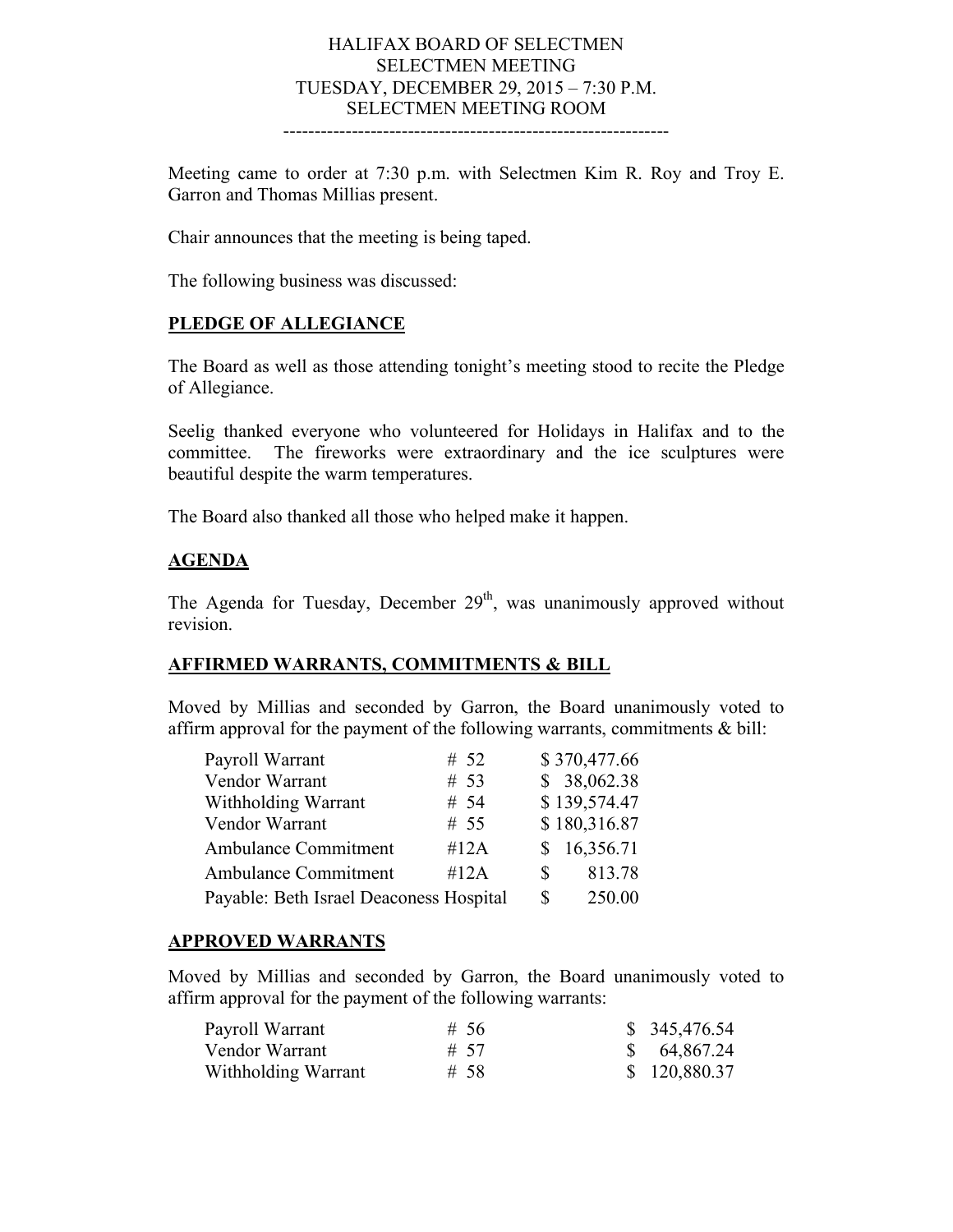#### HALIFAX BOARD OF SELECTMEN SELECTMEN MEETING TUESDAY, DECEMBER 29, 2015 – 7:30 P.M. SELECTMEN MEETING ROOM --------------------------------------------------------------

Meeting came to order at 7:30 p.m. with Selectmen Kim R. Roy and Troy E. Garron and Thomas Millias present.

Chair announces that the meeting is being taped.

The following business was discussed:

## **PLEDGE OF ALLEGIANCE**

The Board as well as those attending tonight's meeting stood to recite the Pledge of Allegiance.

Seelig thanked everyone who volunteered for Holidays in Halifax and to the committee. The fireworks were extraordinary and the ice sculptures were beautiful despite the warm temperatures.

The Board also thanked all those who helped make it happen.

### **AGENDA**

The Agenda for Tuesday, December  $29<sup>th</sup>$ , was unanimously approved without revision.

### **AFFIRMED WARRANTS, COMMITMENTS & BILL**

Moved by Millias and seconded by Garron, the Board unanimously voted to affirm approval for the payment of the following warrants, commitments & bill:

| Payroll Warrant                         | # $52$ |          | \$370,477.66 |
|-----------------------------------------|--------|----------|--------------|
| Vendor Warrant                          | # 53   |          | \$38,062.38  |
| Withholding Warrant                     | # 54   |          | \$139,574.47 |
| Vendor Warrant                          | # 55   |          | \$180,316.87 |
| <b>Ambulance Commitment</b>             | #12A   |          | \$16,356.71  |
| <b>Ambulance Commitment</b>             | #12A   | <b>S</b> | 813.78       |
| Payable: Beth Israel Deaconess Hospital |        | S        | 250.00       |

#### **APPROVED WARRANTS**

Moved by Millias and seconded by Garron, the Board unanimously voted to affirm approval for the payment of the following warrants:

| Payroll Warrant     | #56  | \$345,476.54 |
|---------------------|------|--------------|
| Vendor Warrant      | # 57 | \$64,867.24  |
| Withholding Warrant | # 58 | \$120,880.37 |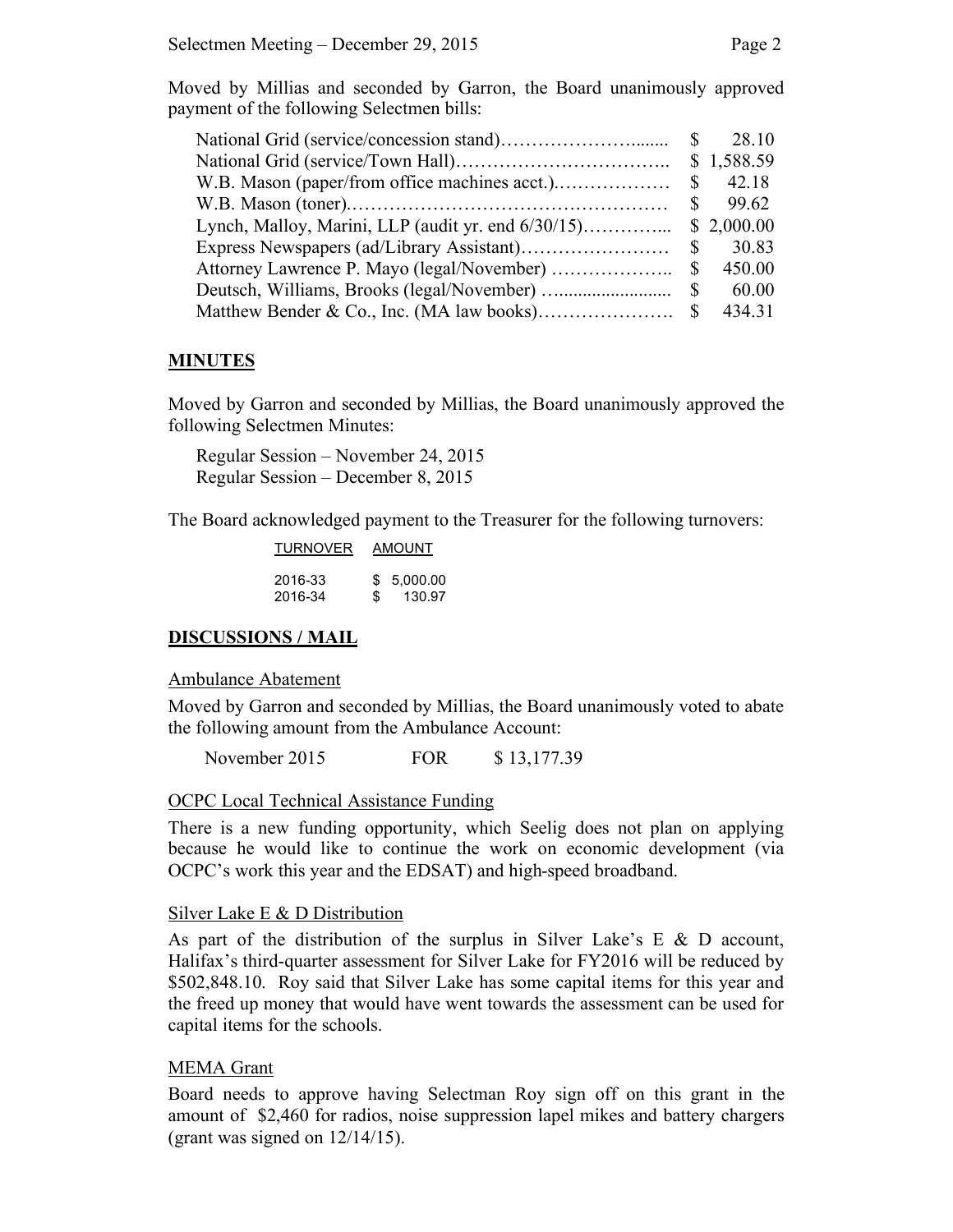Moved by Millias and seconded by Garron, the Board unanimously approved payment of the following Selectmen bills:

| <sup>S</sup>  | 28.10      |
|---------------|------------|
|               | \$1,588.59 |
| S             | 42.18      |
|               | 99.62      |
|               | \$2,000.00 |
| \$            | 30.83      |
| S             | 450.00     |
| <sup>\$</sup> | 60.00      |
|               | 434.31     |

#### **MINUTES**

Moved by Garron and seconded by Millias, the Board unanimously approved the following Selectmen Minutes:

Regular Session – November 24, 2015 Regular Session – December 8, 2015

The Board acknowledged payment to the Treasurer for the following turnovers:

| <b>TURNOVER</b>    | AMOUNT |                      |
|--------------------|--------|----------------------|
| 2016-33<br>2016-34 | \$.    | \$5.000.00<br>130.97 |

#### **DISCUSSIONS / MAIL**

Ambulance Abatement

Moved by Garron and seconded by Millias, the Board unanimously voted to abate the following amount from the Ambulance Account:

November 2015 FOR \$ 13,177.39

#### OCPC Local Technical Assistance Funding

There is a new funding opportunity, which Seelig does not plan on applying because he would like to continue the work on economic development (via OCPC's work this year and the EDSAT) and high-speed broadband.

#### Silver Lake E & D Distribution

As part of the distribution of the surplus in Silver Lake's E  $\&$  D account, Halifax's third-quarter assessment for Silver Lake for FY2016 will be reduced by \$502,848.10. Roy said that Silver Lake has some capital items for this year and the freed up money that would have went towards the assessment can be used for capital items for the schools.

#### MEMA Grant

Board needs to approve having Selectman Roy sign off on this grant in the amount of \$2,460 for radios, noise suppression lapel mikes and battery chargers (grant was signed on 12/14/15).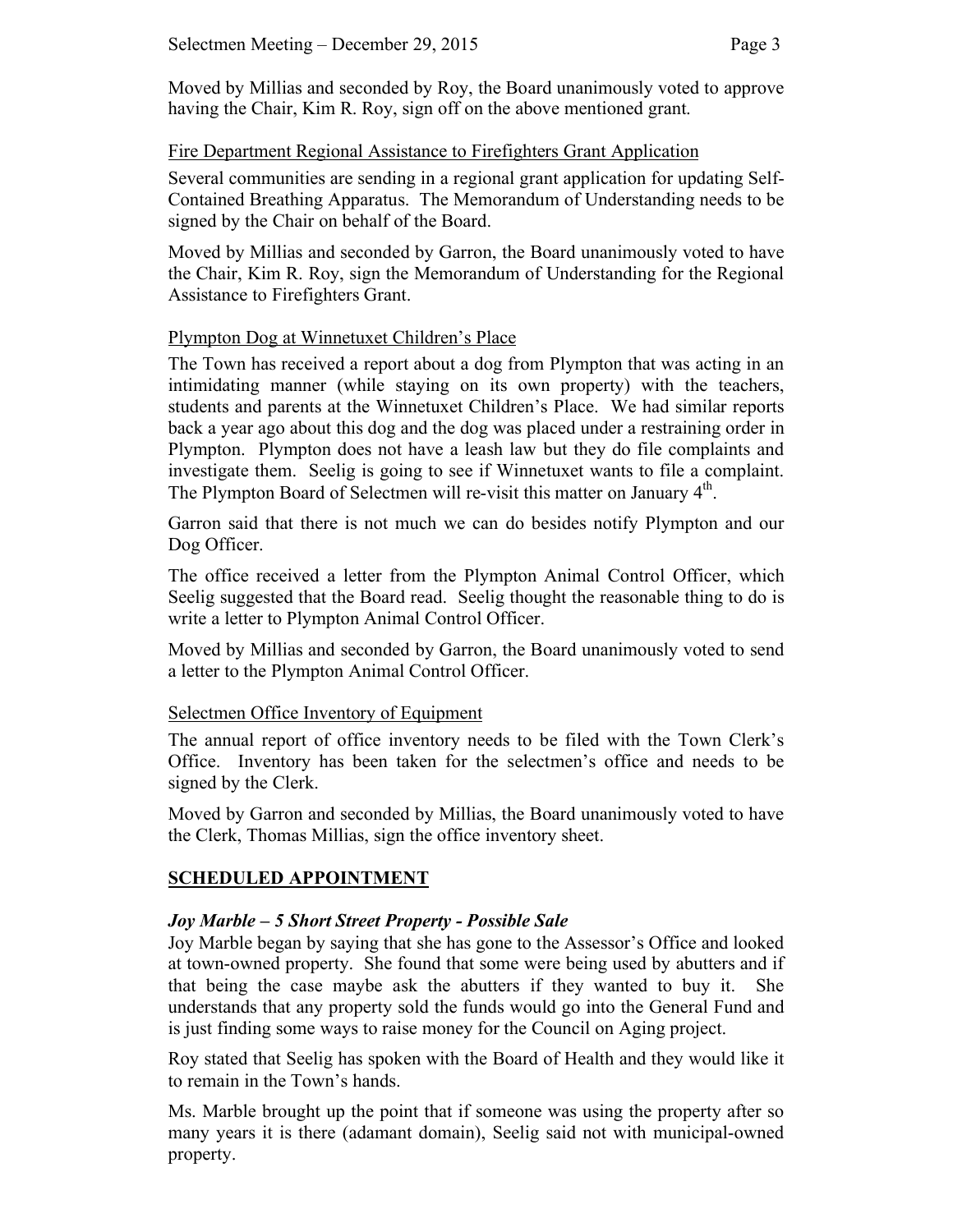Moved by Millias and seconded by Roy, the Board unanimously voted to approve having the Chair, Kim R. Roy, sign off on the above mentioned grant.

# Fire Department Regional Assistance to Firefighters Grant Application

Several communities are sending in a regional grant application for updating Self-Contained Breathing Apparatus. The Memorandum of Understanding needs to be signed by the Chair on behalf of the Board.

Moved by Millias and seconded by Garron, the Board unanimously voted to have the Chair, Kim R. Roy, sign the Memorandum of Understanding for the Regional Assistance to Firefighters Grant.

# Plympton Dog at Winnetuxet Children's Place

The Town has received a report about a dog from Plympton that was acting in an intimidating manner (while staying on its own property) with the teachers, students and parents at the Winnetuxet Children's Place. We had similar reports back a year ago about this dog and the dog was placed under a restraining order in Plympton. Plympton does not have a leash law but they do file complaints and investigate them. Seelig is going to see if Winnetuxet wants to file a complaint. The Plympton Board of Selectmen will re-visit this matter on January 4<sup>th</sup>.

Garron said that there is not much we can do besides notify Plympton and our Dog Officer.

The office received a letter from the Plympton Animal Control Officer, which Seelig suggested that the Board read. Seelig thought the reasonable thing to do is write a letter to Plympton Animal Control Officer.

Moved by Millias and seconded by Garron, the Board unanimously voted to send a letter to the Plympton Animal Control Officer.

# Selectmen Office Inventory of Equipment

The annual report of office inventory needs to be filed with the Town Clerk's Office. Inventory has been taken for the selectmen's office and needs to be signed by the Clerk.

Moved by Garron and seconded by Millias, the Board unanimously voted to have the Clerk, Thomas Millias, sign the office inventory sheet.

# **SCHEDULED APPOINTMENT**

# *Joy Marble – 5 Short Street Property - Possible Sale*

Joy Marble began by saying that she has gone to the Assessor's Office and looked at town-owned property. She found that some were being used by abutters and if that being the case maybe ask the abutters if they wanted to buy it. She understands that any property sold the funds would go into the General Fund and is just finding some ways to raise money for the Council on Aging project.

Roy stated that Seelig has spoken with the Board of Health and they would like it to remain in the Town's hands.

Ms. Marble brought up the point that if someone was using the property after so many years it is there (adamant domain), Seelig said not with municipal-owned property.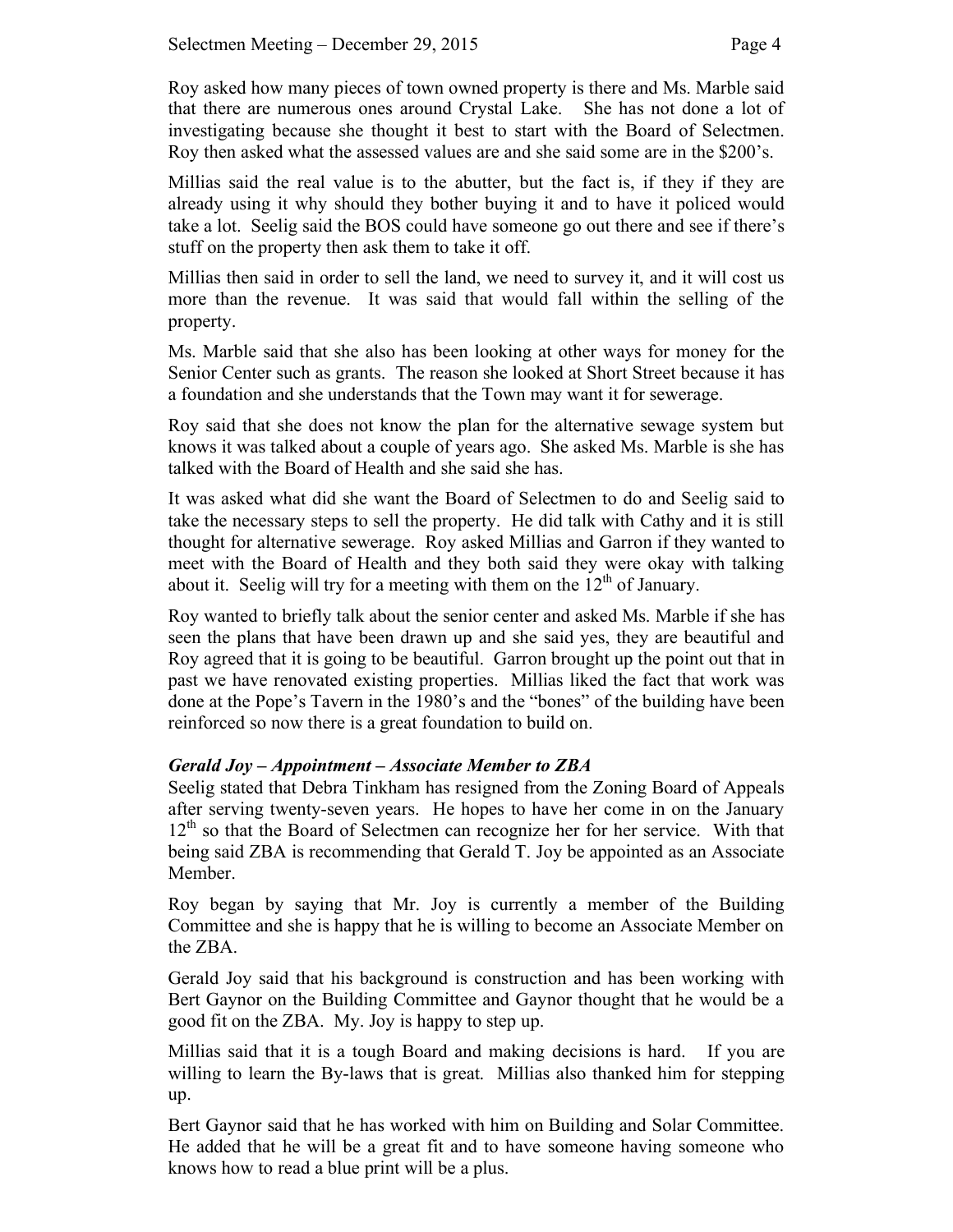Roy asked how many pieces of town owned property is there and Ms. Marble said that there are numerous ones around Crystal Lake. She has not done a lot of investigating because she thought it best to start with the Board of Selectmen. Roy then asked what the assessed values are and she said some are in the \$200's.

Millias said the real value is to the abutter, but the fact is, if they if they are already using it why should they bother buying it and to have it policed would take a lot. Seelig said the BOS could have someone go out there and see if there's stuff on the property then ask them to take it off.

Millias then said in order to sell the land, we need to survey it, and it will cost us more than the revenue. It was said that would fall within the selling of the property.

Ms. Marble said that she also has been looking at other ways for money for the Senior Center such as grants. The reason she looked at Short Street because it has a foundation and she understands that the Town may want it for sewerage.

Roy said that she does not know the plan for the alternative sewage system but knows it was talked about a couple of years ago. She asked Ms. Marble is she has talked with the Board of Health and she said she has.

It was asked what did she want the Board of Selectmen to do and Seelig said to take the necessary steps to sell the property. He did talk with Cathy and it is still thought for alternative sewerage. Roy asked Millias and Garron if they wanted to meet with the Board of Health and they both said they were okay with talking about it. Seelig will try for a meeting with them on the  $12<sup>th</sup>$  of January.

Roy wanted to briefly talk about the senior center and asked Ms. Marble if she has seen the plans that have been drawn up and she said yes, they are beautiful and Roy agreed that it is going to be beautiful. Garron brought up the point out that in past we have renovated existing properties. Millias liked the fact that work was done at the Pope's Tavern in the 1980's and the "bones" of the building have been reinforced so now there is a great foundation to build on.

# *Gerald Joy – Appointment – Associate Member to ZBA*

Seelig stated that Debra Tinkham has resigned from the Zoning Board of Appeals after serving twenty-seven years. He hopes to have her come in on the January 12<sup>th</sup> so that the Board of Selectmen can recognize her for her service. With that being said ZBA is recommending that Gerald T. Joy be appointed as an Associate Member.

Roy began by saying that Mr. Joy is currently a member of the Building Committee and she is happy that he is willing to become an Associate Member on the ZBA.

Gerald Joy said that his background is construction and has been working with Bert Gaynor on the Building Committee and Gaynor thought that he would be a good fit on the ZBA. My. Joy is happy to step up.

Millias said that it is a tough Board and making decisions is hard. If you are willing to learn the By-laws that is great. Millias also thanked him for stepping up.

Bert Gaynor said that he has worked with him on Building and Solar Committee. He added that he will be a great fit and to have someone having someone who knows how to read a blue print will be a plus.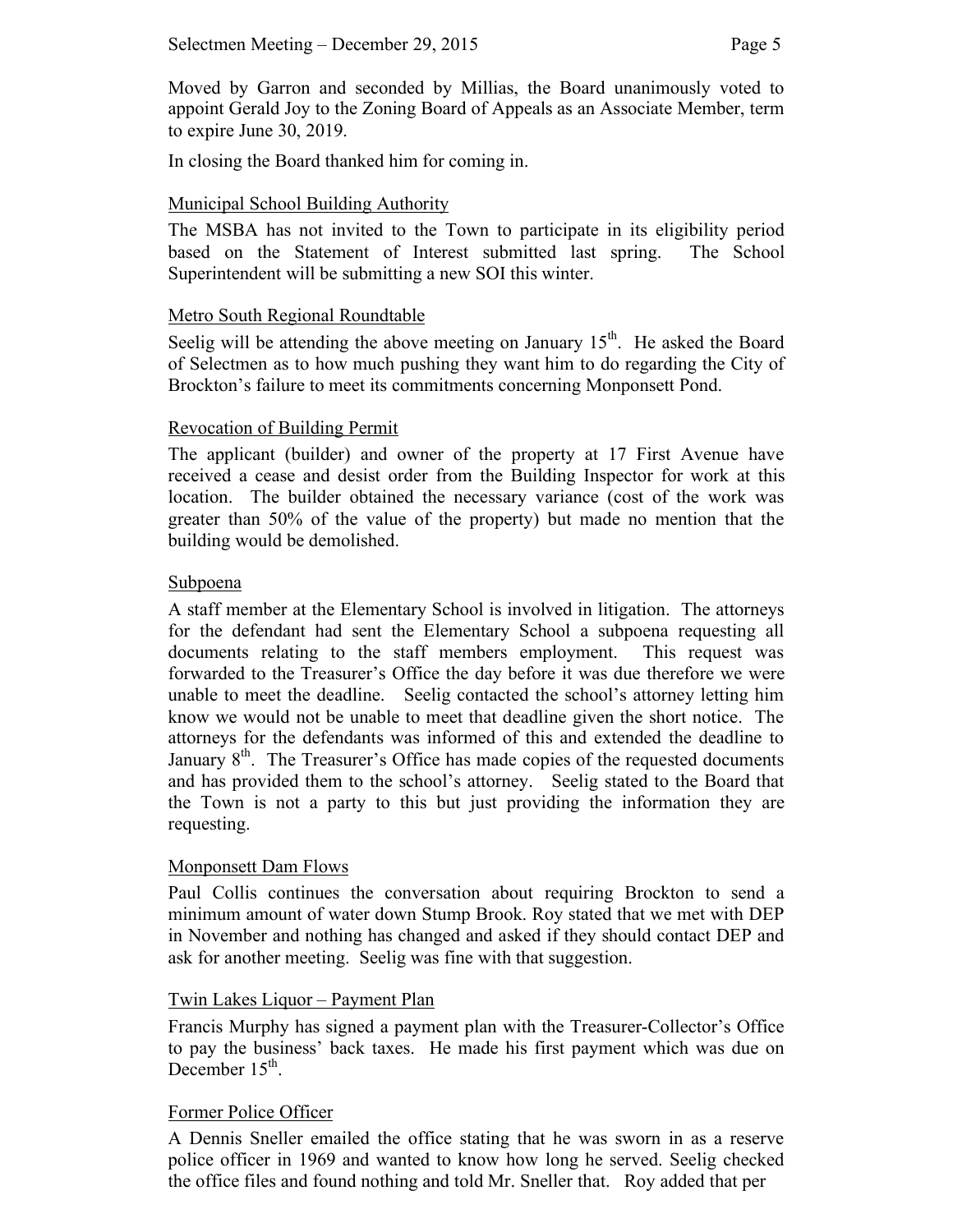Moved by Garron and seconded by Millias, the Board unanimously voted to appoint Gerald Joy to the Zoning Board of Appeals as an Associate Member, term to expire June 30, 2019.

In closing the Board thanked him for coming in.

## Municipal School Building Authority

The MSBA has not invited to the Town to participate in its eligibility period based on the Statement of Interest submitted last spring. The School Superintendent will be submitting a new SOI this winter.

## Metro South Regional Roundtable

Seelig will be attending the above meeting on January  $15<sup>th</sup>$ . He asked the Board of Selectmen as to how much pushing they want him to do regarding the City of Brockton's failure to meet its commitments concerning Monponsett Pond.

## Revocation of Building Permit

The applicant (builder) and owner of the property at 17 First Avenue have received a cease and desist order from the Building Inspector for work at this location. The builder obtained the necessary variance (cost of the work was greater than 50% of the value of the property) but made no mention that the building would be demolished.

### Subpoena

A staff member at the Elementary School is involved in litigation. The attorneys for the defendant had sent the Elementary School a subpoena requesting all documents relating to the staff members employment. This request was forwarded to the Treasurer's Office the day before it was due therefore we were unable to meet the deadline. Seelig contacted the school's attorney letting him know we would not be unable to meet that deadline given the short notice. The attorneys for the defendants was informed of this and extended the deadline to January  $8<sup>th</sup>$ . The Treasurer's Office has made copies of the requested documents and has provided them to the school's attorney. Seelig stated to the Board that the Town is not a party to this but just providing the information they are requesting.

### Monponsett Dam Flows

Paul Collis continues the conversation about requiring Brockton to send a minimum amount of water down Stump Brook. Roy stated that we met with DEP in November and nothing has changed and asked if they should contact DEP and ask for another meeting. Seelig was fine with that suggestion.

# Twin Lakes Liquor – Payment Plan

Francis Murphy has signed a payment plan with the Treasurer-Collector's Office to pay the business' back taxes. He made his first payment which was due on December  $15<sup>th</sup>$ .

# Former Police Officer

A Dennis Sneller emailed the office stating that he was sworn in as a reserve police officer in 1969 and wanted to know how long he served. Seelig checked the office files and found nothing and told Mr. Sneller that. Roy added that per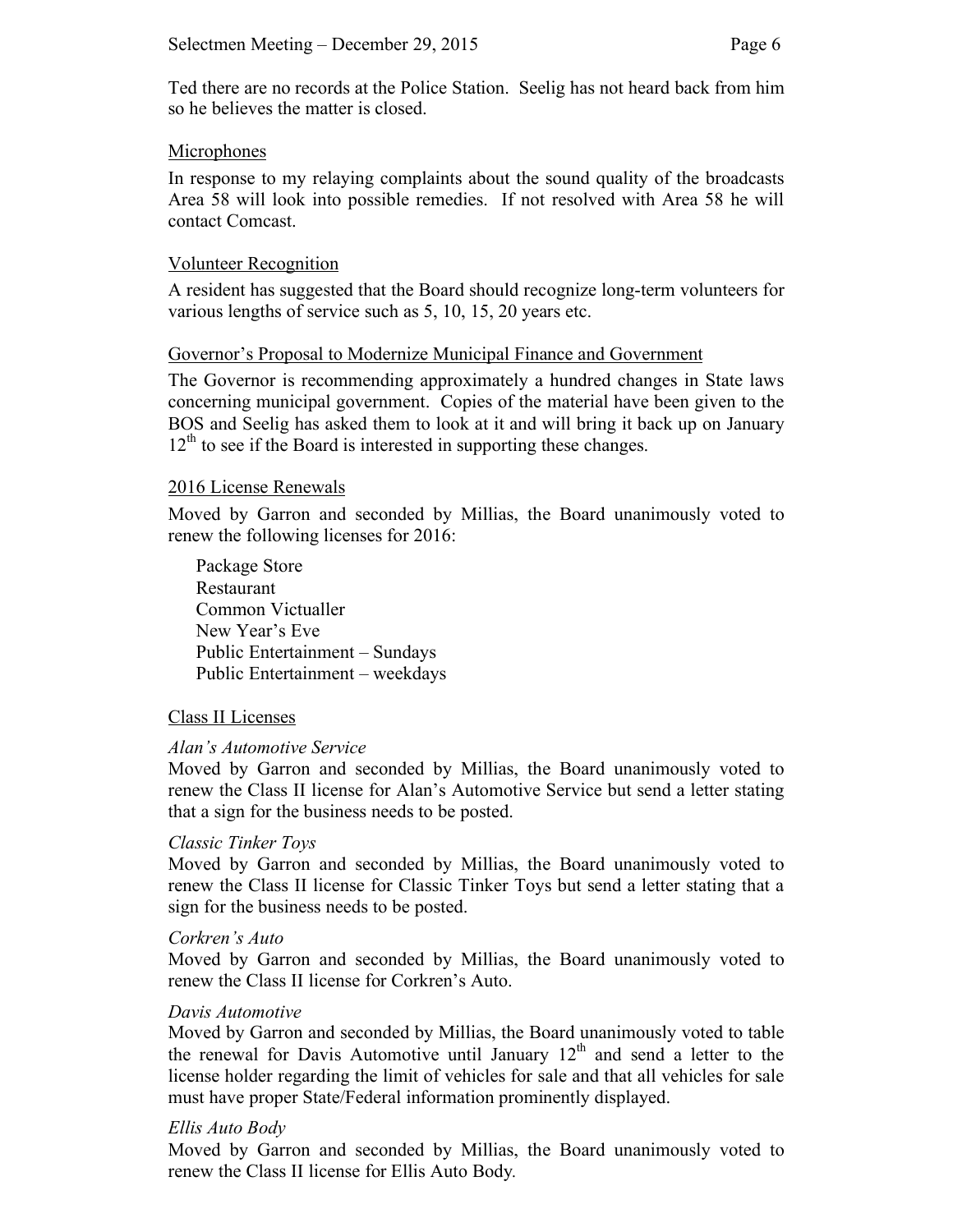Ted there are no records at the Police Station. Seelig has not heard back from him so he believes the matter is closed.

### **Microphones**

In response to my relaying complaints about the sound quality of the broadcasts Area 58 will look into possible remedies. If not resolved with Area 58 he will contact Comcast.

#### Volunteer Recognition

A resident has suggested that the Board should recognize long-term volunteers for various lengths of service such as 5, 10, 15, 20 years etc.

### Governor's Proposal to Modernize Municipal Finance and Government

The Governor is recommending approximately a hundred changes in State laws concerning municipal government. Copies of the material have been given to the BOS and Seelig has asked them to look at it and will bring it back up on January  $12<sup>th</sup>$  to see if the Board is interested in supporting these changes.

#### 2016 License Renewals

Moved by Garron and seconded by Millias, the Board unanimously voted to renew the following licenses for 2016:

Package Store Restaurant Common Victualler New Year's Eve Public Entertainment – Sundays Public Entertainment – weekdays

### Class II Licenses

#### *Alan's Automotive Service*

Moved by Garron and seconded by Millias, the Board unanimously voted to renew the Class II license for Alan's Automotive Service but send a letter stating that a sign for the business needs to be posted.

### *Classic Tinker Toys*

Moved by Garron and seconded by Millias, the Board unanimously voted to renew the Class II license for Classic Tinker Toys but send a letter stating that a sign for the business needs to be posted.

#### *Corkren's Auto*

Moved by Garron and seconded by Millias, the Board unanimously voted to renew the Class II license for Corkren's Auto.

#### *Davis Automotive*

Moved by Garron and seconded by Millias, the Board unanimously voted to table the renewal for Davis Automotive until January  $12<sup>th</sup>$  and send a letter to the license holder regarding the limit of vehicles for sale and that all vehicles for sale must have proper State/Federal information prominently displayed.

#### *Ellis Auto Body*

Moved by Garron and seconded by Millias, the Board unanimously voted to renew the Class II license for Ellis Auto Body*.*